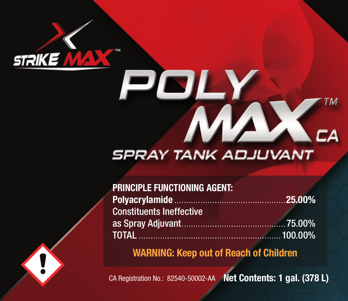

# J

# **SPRAY TANK ADJUVANT**

| <b>PRINCIPLE FUNCTIONING AGENT:</b> |  |
|-------------------------------------|--|
|                                     |  |
| <b>Constituents Ineffective</b>     |  |
|                                     |  |
|                                     |  |

WARNING: Keep out of Reach of Children

CA Registration No.: 82540-50002-AA Net Contents: 1 gal. (378 L)